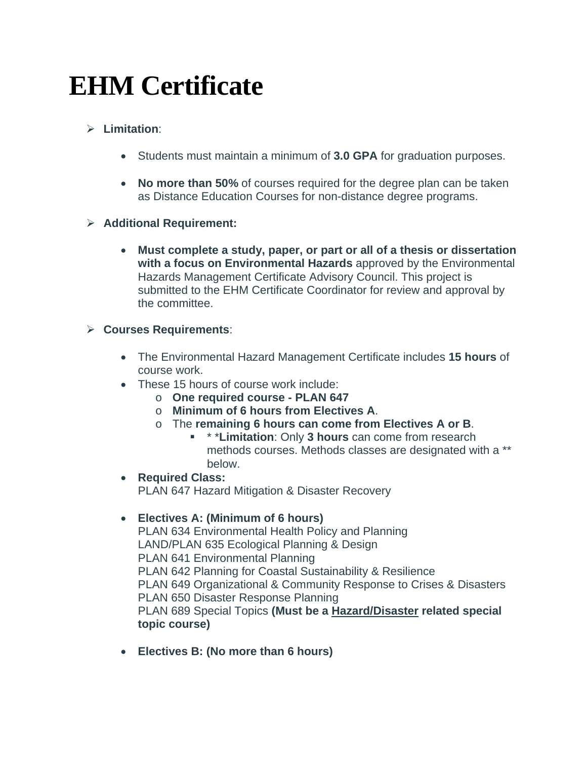# **EHM Certificate**

# **Limitation**:

- Students must maintain a minimum of **3.0 GPA** for graduation purposes.
- **No more than 50%** of courses required for the degree plan can be taken as Distance Education Courses for non-distance degree programs.

## **Additional Requirement:**

 **Must complete a study, paper, or part or all of a thesis or dissertation with a focus on Environmental Hazards** approved by the Environmental Hazards Management Certificate Advisory Council. This project is submitted to the EHM Certificate Coordinator for review and approval by the committee.

## **Courses Requirements**:

- The Environmental Hazard Management Certificate includes **15 hours** of course work.
- These 15 hours of course work include:
	- o **One required course PLAN 647**
	- o **Minimum of 6 hours from Electives A**.
	- o The **remaining 6 hours can come from Electives A or B**.
		- \* \***Limitation**: Only **3 hours** can come from research methods courses. Methods classes are designated with a \*\* below.
- **Required Class:**  PLAN 647 Hazard Mitigation & Disaster Recovery

## **Electives A: (Minimum of 6 hours)**

PLAN 634 Environmental Health Policy and Planning LAND/PLAN 635 Ecological Planning & Design PLAN 641 Environmental Planning PLAN 642 Planning for Coastal Sustainability & Resilience PLAN 649 Organizational & Community Response to Crises & Disasters PLAN 650 Disaster Response Planning PLAN 689 Special Topics **(Must be a Hazard/Disaster related special topic course)**

**Electives B: (No more than 6 hours)**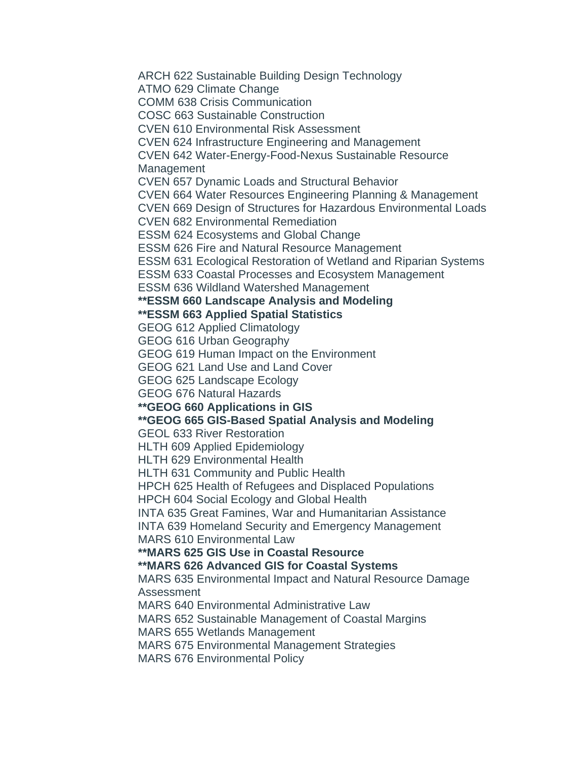ARCH 622 Sustainable Building Design Technology

ATMO 629 Climate Change

COMM 638 Crisis Communication

COSC 663 Sustainable Construction

CVEN 610 Environmental Risk Assessment

CVEN 624 Infrastructure Engineering and Management

CVEN 642 Water-Energy-Food-Nexus Sustainable Resource

Management

CVEN 657 Dynamic Loads and Structural Behavior

CVEN 664 Water Resources Engineering Planning & Management

CVEN 669 Design of Structures for Hazardous Environmental Loads

CVEN 682 Environmental Remediation

ESSM 624 Ecosystems and Global Change

ESSM 626 Fire and Natural Resource Management

ESSM 631 Ecological Restoration of Wetland and Riparian Systems

ESSM 633 Coastal Processes and Ecosystem Management

ESSM 636 Wildland Watershed Management

**\*\*ESSM 660 Landscape Analysis and Modeling** 

**\*\*ESSM 663 Applied Spatial Statistics** 

GEOG 612 Applied Climatology

GEOG 616 Urban Geography

GEOG 619 Human Impact on the Environment

GEOG 621 Land Use and Land Cover

GEOG 625 Landscape Ecology

GEOG 676 Natural Hazards

## **\*\*GEOG 660 Applications in GIS**

# **\*\*GEOG 665 GIS-Based Spatial Analysis and Modeling**

GEOL 633 River Restoration

HLTH 609 Applied Epidemiology

HLTH 629 Environmental Health

HLTH 631 Community and Public Health

HPCH 625 Health of Refugees and Displaced Populations

HPCH 604 Social Ecology and Global Health

INTA 635 Great Famines, War and Humanitarian Assistance

INTA 639 Homeland Security and Emergency Management

MARS 610 Environmental Law

# **\*\*MARS 625 GIS Use in Coastal Resource**

# **\*\*MARS 626 Advanced GIS for Coastal Systems**

MARS 635 Environmental Impact and Natural Resource Damage Assessment

MARS 640 Environmental Administrative Law

MARS 652 Sustainable Management of Coastal Margins

MARS 655 Wetlands Management

MARS 675 Environmental Management Strategies

MARS 676 Environmental Policy